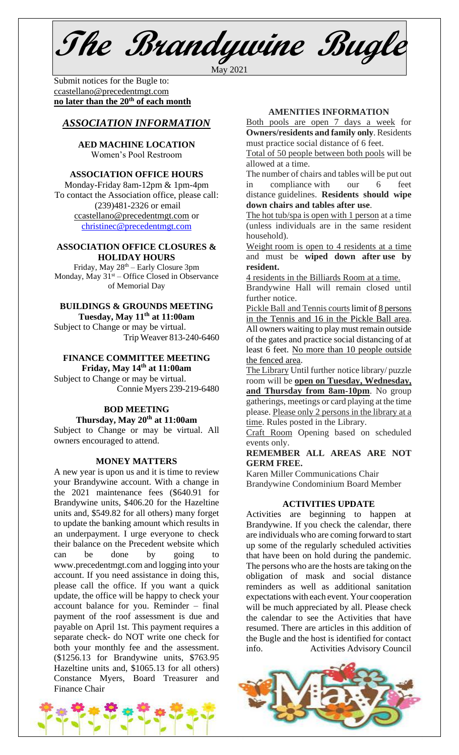**The Brandywine Bugle**

May 2021

Submit notices for the Bugle to: [ccastellano@precedentmgt.com](mailto:johnandbethgrooms@gmail.com) **no later than the 20th of each month**

# *ASSOCIATION INFORMATION*

**AED MACHINE LOCATION**  Women's Pool Restroom

# **ASSOCIATION OFFICE HOURS**

Monday-Friday 8am-12pm & 1pm-4pm To contact the Association office, please call: (239)481-2326 or email [ccastellano@precedentmgt.com](mailto:ccastellano@precedentmgt.com) or

[christinec@precedentmgt.com](mailto:christinec@precedentmgt.com)

#### **ASSOCIATION OFFICE CLOSURES & HOLIDAY HOURS**

Friday, May 28th – Early Closure 3pm Monday, May  $31<sup>st</sup> -$  Office Closed in Observance of Memorial Day

# **BUILDINGS & GROUNDS MEETING**

**Tuesday, May 11th at 11:00am** Subject to Change or may be virtual. Trip Weaver 813-240-6460

## **FINANCE COMMITTEE MEETING Friday, May 14 th at 11:00am**

Subject to Change or may be virtual. Connie Myers 239-219-6480

## **BOD MEETING Thursday, May 20th at 11:00am**

Subject to Change or may be virtual. All owners encouraged to attend.

## **MONEY MATTERS**

A new year is upon us and it is time to review your Brandywine account. With a change in the 2021 maintenance fees (\$640.91 for Brandywine units, \$406.20 for the Hazeltine units and, \$549.82 for all others) many forget to update the banking amount which results in an underpayment. I urge everyone to check their balance on the Precedent website which can be done by going to www.precedentmgt.com and logging into your account. If you need assistance in doing this, please call the office. If you want a quick update, the office will be happy to check your account balance for you. Reminder – final payment of the roof assessment is due and payable on April 1st. This payment requires a separate check- do NOT write one check for both your monthly fee and the assessment. (\$1256.13 for Brandywine units, \$763.95 Hazeltine units and, \$1065.13 for all others) Constance Myers, Board Treasurer and Finance Chair

Weight room is open to 4 residents at a time **resident.**

4 residents in the Billiards Room at a time.

Brandywine Hall will remain closed until further notice.

Pickle Ball and Tennis courts limit of 8 persons in the Tennis and 16 in the Pickle Ball area. All owners waiting to play must remain outside of the gates and practice social distancing of at least 6 feet. No more than 10 people outside the fenced area.

The Library Until further notice library/ puzzle room will be **open on Tuesday, Wednesday, and Thursday from 8am-10pm**. No group gatherings, meetings or card playing at the time please. Please only 2 persons in the library at a time. Rules posted in the Library.

Craft Room Opening based on scheduled events only.

**REMEMBER ALL AREAS ARE NOT GERM FREE.**

Karen Miller Communications Chair Brandywine Condominium Board Member

## **ACTIVITIES UPDATE**

Activities are beginning to happen at Brandywine. If you check the calendar, there are individuals who are coming forward to start up some of the regularly scheduled activities that have been on hold during the pandemic. The persons who are the hosts are taking on the obligation of mask and social distance reminders as well as additional sanitation expectations with each event. Your cooperation will be much appreciated by all. Please check the calendar to see the Activities that have resumed. There are articles in this addition of the Bugle and the host is identified for contact info. Activities Advisory Council





#### **AMENITIES INFORMATION**

Both pools are open 7 days a week for **Owners/residents and family only**. Residents must practice social distance of 6 feet.

Total of 50 people between both pools will be allowed at a time.

The number of chairs and tables will be put out in compliance with our 6 feet distance guidelines. **Residents should wipe down chairs and tables after use**.

The hot tub/spa is open with 1 person at a time (unless individuals are in the same resident household).

and must be **wiped down after use by**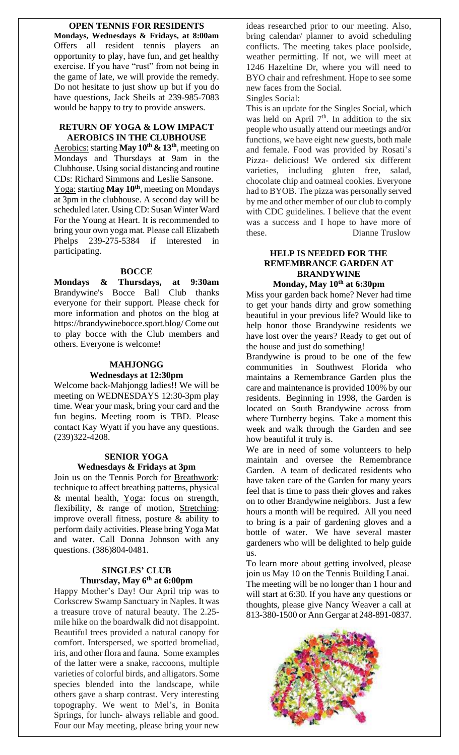# **OPEN TENNIS FOR RESIDENTS**

**Mondays, Wednesdays & Fridays, at 8:00am** Offers all resident tennis players an opportunity to play, have fun, and get healthy exercise. If you have "rust" from not being in the game of late, we will provide the remedy. Do not hesitate to just show up but if you do have questions, Jack Sheils at 239-985-7083 would be happy to try to provide answers.

## **RETURN OF YOGA & LOW IMPACT AEROBICS IN THE CLUBHOUSE**

Aerobics: starting **May 10<sup>th</sup> & 13<sup>th</sup>**, meeting on Mondays and Thursdays at 9am in the Clubhouse. Using social distancing and routine CDs: Richard Simmons and Leslie Sansone. Yoga: starting **May 10th**, meeting on Mondays at 3pm in the clubhouse. A second day will be scheduled later. Using CD: Susan Winter Ward For the Young at Heart. It is recommended to bring your own yoga mat. Please call Elizabeth Phelps 239-275-5384 if interested in participating.

## **BOCCE**

**Mondays & Thursdays, at 9:30am** Brandywine's Bocce Ball Club thanks everyone for their support. Please check for more information and photos on the blog at https://brandywinebocce.sport.blog/ Come out to play bocce with the Club members and others. Everyone is welcome!

## **MAHJONGG**

#### **Wednesdays at 12:30pm**

Welcome back-Mahjongg ladies!! We will be meeting on WEDNESDAYS 12:30-3pm play time. Wear your mask, bring your card and the fun begins. Meeting room is TBD. Please contact Kay Wyatt if you have any questions. (239)322-4208.

# **SENIOR YOGA Wednesdays & Fridays at 3pm**

Join us on the Tennis Porch for Breathwork: technique to affect breathing patterns, physical & mental health, Yoga: focus on strength, flexibility, & range of motion, Stretching: improve overall fitness, posture & ability to perform daily activities. Please bring Yoga Mat and water. Call Donna Johnson with any questions. (386)804-0481.

# **SINGLES' CLUB Thursday, May 6 th at 6:00pm**

Happy Mother's Day! Our April trip was to Corkscrew Swamp Sanctuary in Naples. It was a treasure trove of natural beauty. The 2.25 mile hike on the boardwalk did not disappoint. Beautiful trees provided a natural canopy for comfort. Interspersed, we spotted bromeliad, iris, and other flora and fauna. Some examples of the latter were a snake, raccoons, multiple varieties of colorful birds, and alligators. Some species blended into the landscape, while others gave a sharp contrast. Very interesting topography. We went to Mel's, in Bonita Springs, for lunch- always reliable and good. Four our May meeting, please bring your new ideas researched prior to our meeting. Also, bring calendar/ planner to avoid scheduling conflicts. The meeting takes place poolside, weather permitting. If not, we will meet at 1246 Hazeltine Dr, where you will need to BYO chair and refreshment. Hope to see some new faces from the Social.

Singles Social:

This is an update for the Singles Social, which was held on April  $7<sup>th</sup>$ . In addition to the six people who usually attend our meetings and/or functions, we have eight new guests, both male and female. Food was provided by Rosati's Pizza- delicious! We ordered six different varieties, including gluten free, salad, chocolate chip and oatmeal cookies. Everyone had to BYOB. The pizza was personally served by me and other member of our club to comply with CDC guidelines. I believe that the event was a success and I hope to have more of these. Dianne Truslow

## **HELP IS NEEDED FOR THE REMEMBRANCE GARDEN AT BRANDYWINE Monday, May 10th at 6:30pm**

Miss your garden back home? Never had time to get your hands dirty and grow something beautiful in your previous life? Would like to help honor those Brandywine residents we have lost over the years? Ready to get out of the house and just do something!

Brandywine is proud to be one of the few communities in Southwest Florida who maintains a Remembrance Garden plus the care and maintenance is provided 100% by our residents. Beginning in 1998, the Garden is located on South Brandywine across from where Turnberry begins. Take a moment this week and walk through the Garden and see how beautiful it truly is.

We are in need of some volunteers to help maintain and oversee the Remembrance Garden. A team of dedicated residents who have taken care of the Garden for many years feel that is time to pass their gloves and rakes on to other Brandywine neighbors. Just a few hours a month will be required. All you need to bring is a pair of gardening gloves and a bottle of water. We have several master gardeners who will be delighted to help guide us.

To learn more about getting involved, please join us May 10 on the Tennis Building Lanai. The meeting will be no longer than 1 hour and will start at 6:30. If you have any questions or thoughts, please give Nancy Weaver a call at 813-380-1500 or Ann Gergar at 248-891-0837.

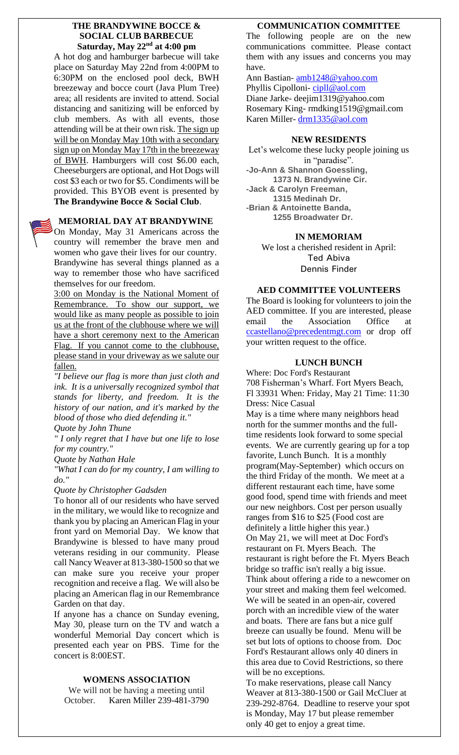## **THE BRANDYWINE BOCCE & SOCIAL CLUB BARBECUE Saturday, May 22nd at 4:00 pm**

A hot dog and hamburger barbecue will take place on Saturday May 22nd from 4:00PM to 6:30PM on the enclosed pool deck, BWH breezeway and bocce court (Java Plum Tree) area; all residents are invited to attend. Social distancing and sanitizing will be enforced by club members. As with all events, those attending will be at their own risk. The sign up will be on Monday May 10th with a secondary sign up on Monday May 17th in the breezeway of BWH. Hamburgers will cost \$6.00 each, Cheeseburgers are optional, and Hot Dogs will cost \$3 each or two for \$5. Condiments will be provided. This BYOB event is presented by **The Brandywine Bocce & Social Club**.

# **MEMORIAL DAY AT BRANDYWINE**

On Monday, May 31 Americans across the country will remember the brave men and women who gave their lives for our country. Brandywine has several things planned as a way to remember those who have sacrificed themselves for our freedom.

3:00 on Monday is the National Moment of Remembrance. To show our support, we would like as many people as possible to join us at the front of the clubhouse where we will have a short ceremony next to the American Flag. If you cannot come to the clubhouse, please stand in your driveway as we salute our fallen.

*"I believe our flag is more than just cloth and ink. It is a universally recognized symbol that stands for liberty, and freedom. It is the history of our nation, and it's marked by the blood of those who died defending it."*

*Quote by John Thune*

*" I only regret that I have but one life to lose for my country."*

*Quote by Nathan Hale*

*"What I can do for my country, I am willing to do."*

*Quote by Christopher Gadsden*

To honor all of our residents who have served in the military, we would like to recognize and thank you by placing an American Flag in your front yard on Memorial Day. We know that Brandywine is blessed to have many proud veterans residing in our community. Please call Nancy Weaver at 813-380-1500 so that we can make sure you receive your proper recognition and receive a flag. We will also be placing an American flag in our Remembrance Garden on that day.

If anyone has a chance on Sunday evening, May 30, please turn on the TV and watch a wonderful Memorial Day concert which is presented each year on PBS. Time for the concert is 8:00EST.

## **WOMENS ASSOCIATION**

We will not be having a meeting until October. Karen Miller 239-481-3790

## **COMMUNICATION COMMITTEE**

The following people are on the new communications committee. Please contact them with any issues and concerns you may have.

Ann Bastian- [amb1248@yahoo.com](mailto:amb1248@yahoo.com)

Phyllis Cipolloni- [cipll@aol.com](mailto:cipll@aol.com) Diane Jarke- deejim1319@yahoo.com Rosemary King- rmdking1519@gmail.com Karen Miller- [drm1335@aol.com](mailto:drm1335@aol.com)

## **NEW RESIDENTS**

Let's welcome these lucky people joining us in "paradise". **-Jo-Ann & Shannon Goessling, 1373 N. Brandywine Cir. -Jack & Carolyn Freeman, 1315 Medinah Dr. -Brian & Antoinette Banda, 1255 Broadwater Dr.**

## **IN MEMORIAM**

We lost a cherished resident in April: Ted Abiva Dennis Finder

## **AED COMMITTEE VOLUNTEERS**

The Board is looking for volunteers to join the AED committee. If you are interested, please email the Association Office at [ccastellano@precedentmgt.com](mailto:ccastellano@precedentmgt.com) or drop off your written request to the office.

# **LUNCH BUNCH**

Where: Doc Ford's Restaurant 708 Fisherman's Wharf. Fort Myers Beach, Fl 33931 When: Friday, May 21 Time: 11:30 Dress: Nice Casual May is a time where many neighbors head north for the summer months and the fulltime residents look forward to some special events. We are currently gearing up for a top favorite, Lunch Bunch. It is a monthly program(May-September) which occurs on the third Friday of the month. We meet at a different restaurant each time, have some good food, spend time with friends and meet our new neighbors. Cost per person usually ranges from \$16 to \$25 (Food cost are definitely a little higher this year.) On May 21, we will meet at Doc Ford's

restaurant on Ft. Myers Beach. The restaurant is right before the Ft. Myers Beach bridge so traffic isn't really a big issue. Think about offering a ride to a newcomer on your street and making them feel welcomed. We will be seated in an open-air, covered porch with an incredible view of the water and boats. There are fans but a nice gulf breeze can usually be found. Menu will be set but lots of options to choose from. Doc Ford's Restaurant allows only 40 diners in this area due to Covid Restrictions, so there will be no exceptions.

To make reservations, please call Nancy Weaver at 813-380-1500 or Gail McCluer at 239-292-8764. Deadline to reserve your spot is Monday, May 17 but please remember only 40 get to enjoy a great time.